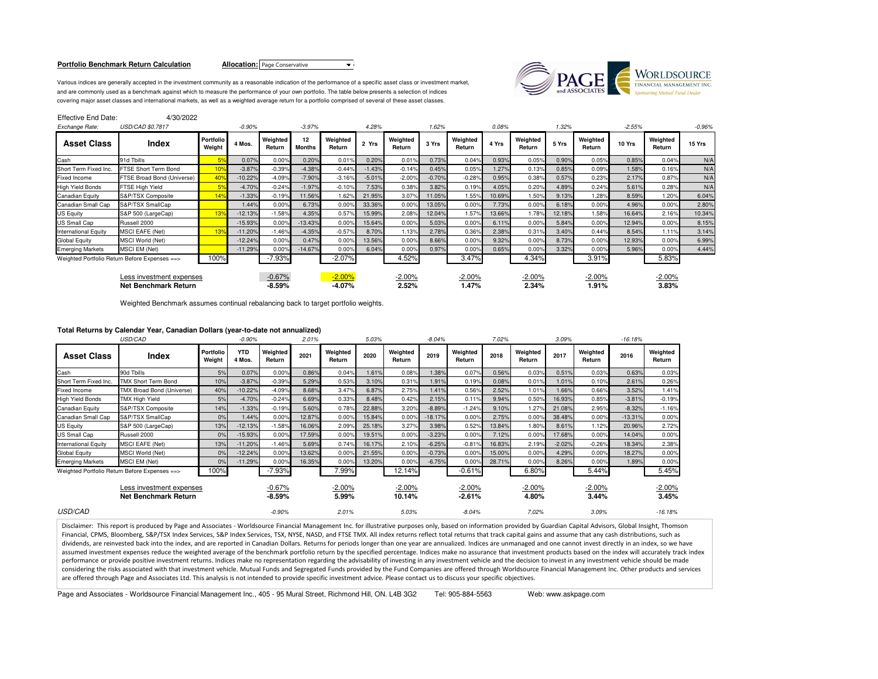### **Portfolio Benchmark Return Calculation**

**Allocation:** Page Conservative **V** 

Various indices are generally accepted in the investment community as a reasonable indication of the performance of a specific asset class or investment market,and are commonly used as a benchmark against which to measure the performance of your own portfolio. The table below presents a selection of indices covering major asset classes and international markets, as well as a weighted average return for a portfolio comprised of several of these asset classes.



| <b>Effective End Date:</b><br>Exchange Rate: | 4/30/2022<br><b>USD/CAD \$0.7817</b>             |                     | $-0.90%$  |                      | $-3.97%$            |                      | 4.28%    |                    | 1.62%    |                    | 0.08%  |                    | 1.32%  |                    | $-2.55%$ |                    | $-0.96%$ |
|----------------------------------------------|--------------------------------------------------|---------------------|-----------|----------------------|---------------------|----------------------|----------|--------------------|----------|--------------------|--------|--------------------|--------|--------------------|----------|--------------------|----------|
| <b>Asset Class</b>                           | Index                                            | Portfolio<br>Weight | 4 Mos.    | Weighted<br>Return   | 12<br><b>Months</b> | Weighted<br>Return   | 2 Yrs    | Weighted<br>Return | 3 Yrs    | Weighted<br>Return | 4 Yrs  | Weighted<br>Return | 5 Yrs  | Weighted<br>Return | 10 Yrs   | Weighted<br>Return | 15 Yrs   |
| Cash                                         | 91d Tbills                                       | 5 <sup>°</sup>      | 0.07%     | 0.00%                | 0.20%               | 0.01%                | 0.20%    | 0.01%              | 0.73%    | 0.04%              | 0.93%  | 0.05%              | 0.90%  | 0.05%              | 0.85%    | 0.04%              | N/A      |
| Short Term Fixed Inc.                        | FTSE Short Term Bond                             | 10 <sub>9</sub>     | $-3.87%$  | $-0.39%$             | $-4.38%$            | $-0.44%$             | $-1.43%$ | $-0.14%$           | 0.45%    | 0.05%              | 1.27%  | 0.13%              | 0.85%  | 0.09%              | 1.58%    | 0.16%              | N/A      |
| Fixed Income                                 | FTSE Broad Bond (Universe)                       | 40 <sup>°</sup>     | $-10.22%$ | $-4.09%$             | $-7.90%$            | $-3.16%$             | $-5.01%$ | $-2.00%$           | $-0.70%$ | $-0.28%$           | 0.95%  | 0.38%              | 0.57%  | 0.23%              | 2.17%    | 0.87%              | N/A      |
| High Yield Bonds                             | FTSE High Yield                                  | 5 <sup>°</sup>      | $-4.70%$  | $-0.24%$             | $-1.97%$            | $-0.10%$             | 7.53%    | 0.38%              | 3.82%    | 0.19%              | 4.05%  | 0.20%              | 4.89%  | 0.24%              | 5.61%    | 0.28%              | N/A      |
| Canadian Equity                              | S&P/TSX Composite                                | 14 <sup>9</sup>     | $-1.33%$  | $-0.19%$             | 11.56%              | 1.62%                | 21.95%   | 3.07%              | 11.05%   | 1.55%              | 10.69% | 1.50%              | 9.13%  | 1.28%              | 8.59%    | 1.20%              | 6.04%    |
| Canadian Small Cap                           | S&P/TSX SmallCap                                 |                     | 1.44%     | 0.00%                | 6.73%               | 0.00%                | 33.36%   | 0.00%              | 13.05%   | 0.00%              | 7.73%  | 0.00%              | 6.18%  | 0.00%              | 4.96%    | 0.00%              | 2.80%    |
| JS Equity                                    | S&P 500 (LargeCap)                               | 13 <sup>°</sup>     | $-12.13%$ | $-1.58%$             | 4.35%               | 0.57%                | 15.99%   | 2.08%              | 12.04%   | 1.57%              | 13.66% | 1.78%              | 12.18% | 1.58%              | 16.64%   | 2.16%              | 10.34%   |
| JS Small Cap                                 | Russell 2000                                     |                     | $-15.93%$ | 0.00%                | $-13.43%$           | 0.00%                | 15.64%   | 0.00%              | 5.03%    | 0.00%              | 6.11%  | 0.00%              | 5.84%  | 0.00%              | 12.94%   | 0.00%              | 8.15%    |
| International Equity                         | <b>MSCI EAFE (Net)</b>                           | 13 <sup>°</sup>     | $-11.20%$ | $-1.46%$             | $-4.35%$            | $-0.57%$             | 8.70%    | 1.13%              | 2.78%    | 0.36%              | 2.38%  | 0.31%              | 3.40%  | 0.44%              | 8.54%    | 1.11%              | 3.14%    |
| Global Equity                                | <b>MSCI World (Net)</b>                          |                     | $-12.24%$ | 0.00%                | 0.47%               | 0.00%                | 13.56%   | 0.00%              | 8.66%    | 0.00%              | 9.32%  | 0.00%              | 8.73%  | 0.00%              | 12.93%   | 0.00%              | 6.99%    |
| <b>Emerging Markets</b>                      | MSCI EM (Net)                                    |                     | $-11.29%$ | 0.00%                | $-14.67%$           | 0.00%                | 6.04%    | 0.00%              | 0.97%    | 0.00%              | 0.65%  | 0.00%              | 3.32%  | 0.00%              | 5.96%    | 0.00%              | 4.44%    |
|                                              | Weighted Portfolio Return Before Expenses ==>    | 100%                |           | $-7.93%$             |                     | $-2.07%$             |          | 4.52%              |          | 3.47%              |        | 4.34%              |        | 3.91%              |          | 5.83%              |          |
|                                              | Less investment expenses<br>Net Benchmark Return |                     |           | $-0.67%$<br>$-8.59%$ |                     | $-2.00%$<br>$-4.07%$ |          | $-2.00%$<br>2.52%  |          | $-2.00%$<br>1.47%  |        | $-2.00%$<br>2.34%  |        | $-2.00%$<br>1.91%  |          | $-2.00%$<br>3.83%  |          |
|                                              |                                                  |                     |           |                      |                     |                      |          |                    |          |                    |        |                    |        |                    |          |                    |          |

Weighted Benchmark assumes continual rebalancing back to target portfolio weights.

# **Total Returns by Calendar Year, Canadian Dollars (year-to-date not annualized)**

|                             | USD/CAD                                          |                     | $-0.90%$             |                      | 2.01%  |                    | 5.03%  |                    | $-8.04%$  |                      | 7.02%  |                    | 3.09%    |                    | $-16.18%$ |                    |
|-----------------------------|--------------------------------------------------|---------------------|----------------------|----------------------|--------|--------------------|--------|--------------------|-----------|----------------------|--------|--------------------|----------|--------------------|-----------|--------------------|
| <b>Asset Class</b>          | Index                                            | Portfolio<br>Weight | <b>YTD</b><br>4 Mos. | Weighted<br>Return   | 2021   | Weighted<br>Return | 2020   | Weighted<br>Return | 2019      | Weighted<br>Return   | 2018   | Weighted<br>Return | 2017     | Weighted<br>Return | 2016      | Weighted<br>Return |
| Cash                        | 90d Tbills                                       | 5%                  | 0.07%                | 0.00%                | 0.86%  | 0.04%              | 1.61%  | 0.08%              | 1.38%     | 0.07%                | 0.56%  | 0.03%              | 0.51%    | 0.03%              | 0.63%     | 0.03%              |
| Short Term Fixed Inc.       | <b>TMX Short Term Bond</b>                       | 10%                 | $-3.87%$             | $-0.39%$             | 5.29%  | 0.53%              | 3.10%  | 0.31%              | 1.91%     | 0.19%                | 0.08%  | 0.01%              | 1.01%    | 0.10%              | 2.61%     | 0.26%              |
| Fixed Income                | TMX Broad Bond (Universe)                        | 40%                 | $-10.22%$            | $-4.09%$             | 8.68%  | 3.47%              | 6.87%  | 2.75%              | 1.41%     | 0.56%                | 2.52%  | 1.01%              | 1.66%    | 0.66%              | 3.52%     | 1.41%              |
| <b>High Yield Bonds</b>     | <b>TMX High Yield</b>                            | 5%                  | $-4.70%$             | $-0.24%$             | 6.69%  | 0.33%              | 8.48%  | 0.42%              | 2.15%     | 0.11%                | 9.94%  | 0.50%              | 16.93%   | 0.85%              | $-3.81%$  | $-0.19%$           |
| <b>Canadian Equity</b>      | S&P/TSX Composite                                | 14%                 | $-1.33%$             | $-0.19%$             | 5.60%  | 0.78%              | 22.88% | 3.20%              | $-8.89%$  | $-1.24%$             | 9.10%  | 1.27%              | 21.08%   | 2.95%              | $-8.32%$  | $-1.16%$           |
| Canadian Small Cap          | S&P/TSX SmallCap                                 | 0%                  | 1.44%                | 0.00%                | 12.87% | 0.00%              | 15.84% | 0.00%              | $-18.17%$ | 0.00%                | 2.75%  | 0.00%              | 38.48%   | 0.00%              | $-13.31%$ | 0.00%              |
| US Equity                   | S&P 500 (LargeCap)                               | 13%                 | $-12.13%$            | $-1.58%$             | 16.06% | 2.09%              | 25.18% | 3.27%              | 3.98%     | 0.52%                | 13.84% | 1.80%              | 8.61%    | 1.12%              | 20.96%    | 2.72%              |
| US Small Cap                | Russell 2000                                     | 0%                  | $-15.93%$            | 0.00%                | 17.59% | 0.00%              | 19.51% | 0.00%              | $-3.23%$  | 0.00%                | 7.12%  | 0.00%              | 17.68%   | 0.00%              | 14.04%    | 0.00%              |
| <b>International Equity</b> | <b>MSCI EAFE (Net)</b>                           | 13%                 | $-11.20%$            | $-1.46%$             | 5.69%  | 0.74%              | 16.17% | 2.10%              | $-6.25%$  | $-0.81%$             | 16.83% | 2.19%              | $-2.02%$ | $-0.26%$           | 18.34%    | 2.38%              |
| <b>Global Equity</b>        | MSCI World (Net)                                 | 0%                  | $-12.24%$            | 0.00%                | 13.62% | 0.00%              | 21.55% | 0.00%              | $-0.73%$  | 0.00%                | 15.00% | 0.00%              | 4.29%    | 0.00%              | 18.27%    | 0.00%              |
| <b>Emerging Markets</b>     | <b>MSCI EM (Net)</b>                             | 0%                  | $-11.29%$            | 0.00%                | 16.35% | 0.00%              | 13.20% | 0.00%              | $-6.75%$  | 0.00%                | 28.71% | 0.00%              | 8.26%    | 0.00%              | 1.89%     | 0.00%              |
|                             | Weighted Portfolio Return Before Expenses ==>    | 100%                |                      | $-7.93%$             |        | 7.99%              |        | 12.14%             |           | $-0.61%$             |        | 6.80%              |          | 5.44%              |           | 5.45%              |
|                             | Less investment expenses<br>Net Benchmark Return |                     |                      | $-0.67%$<br>$-8.59%$ |        | $-2.00\%$<br>5.99% |        | $-2.00%$<br>10.14% |           | $-2.00%$<br>$-2.61%$ |        | $-2.00\%$<br>4.80% |          | $-2.00%$<br>3.44%  |           | $-2.00%$<br>3.45%  |
| <b>USD/CAD</b>              |                                                  |                     |                      | $-0.90%$             |        | 2.01%              |        | 5.03%              |           | $-8.04%$             |        | 7.02%              |          | 3.09%              |           | $-16.18%$          |

Disclaimer: This report is produced by Page and Associates - Worldsource Financial Management Inc. for illustrative purposes only, based on information provided by Guardian Capital Advisors, Global Insight, Thomson Financial, CPMS, Bloomberg, S&P/TSX Index Services, S&P Index Services, TSX, NYSE, NASD, and FTSE TMX. All index returns reflect total returns that track capital gains and assume that any cash distributions, such as dividends, are reinvested back into the index, and are reported in Canadian Dollars. Returns for periods longer than one year are annualized. Indices are unmanaged and one cannot invest directly in an index, so we have assumed investment expenses reduce the weighted average of the benchmark portfolio return by the specified percentage. Indices make no assurance that investment products based on the index will accurately track index performance or provide positive investment returns. Indices make no representation regarding the advisability of investing in any investment vehicle and the decision to invest in any investment vehicle should be made considering the risks associated with that investment vehicle. Mutual Funds and Segregated Funds provided by the Fund Companies are offered through Worldsource Financial Management Inc. Other products and services are offered through Page and Associates Ltd. This analysis is not intended to provide specific investment advice. Please contact us to discuss your specific objectives.

Page and Associates - Worldsource Financial Management Inc., 405 - 95 Mural Street, Richmond Hill, ON. L4B 3G2 Tel: 905-884-5563 Web: www.askpage.com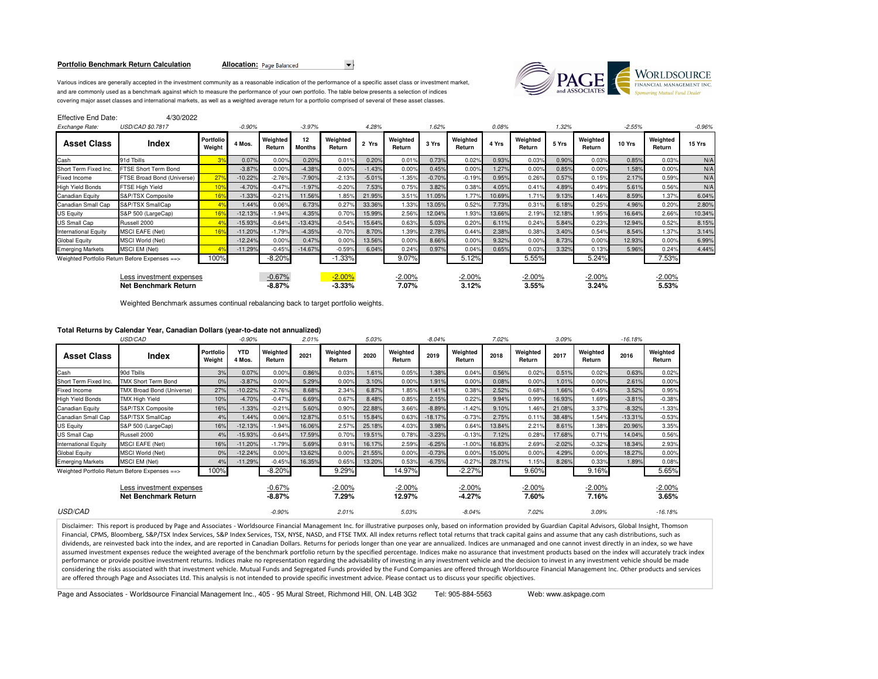### **Portfolio Benchmark Return Calculation**

Allocation: Page Balanced



Various indices are generally accepted in the investment community as a reasonable indication of the performance of a specific asset class or investment market,and are commonly used as a benchmark against which to measure the performance of your own portfolio. The table below presents a selection of indices covering major asset classes and international markets, as well as a weighted average return for a portfolio comprised of several of these asset classes.

| Effective End Date: | 4/30/2022 |
|---------------------|-----------|
|                     |           |

| Exchange Rate:                                   | USD/CAD \$0.7817                              |                            | $-0.90%$  |                      | $-3.97%$            |                      | 4.28%    |                    | 1.62%    |                    | 0.08%  |                    | 1.32%  |                    | $-2.55%$ |                    | $-0.96%$ |
|--------------------------------------------------|-----------------------------------------------|----------------------------|-----------|----------------------|---------------------|----------------------|----------|--------------------|----------|--------------------|--------|--------------------|--------|--------------------|----------|--------------------|----------|
| <b>Asset Class</b>                               | <b>Index</b>                                  | <b>Portfolio</b><br>Weight | 4 Mos.    | Weighted<br>Return   | 12<br><b>Months</b> | Weighted<br>Return   | 2 Yrs    | Weighted<br>Return | 3 Yrs    | Weighted<br>Return | 4 Yrs  | Weighted<br>Return | 5 Yrs  | Weighted<br>Return | 10 Yrs   | Weighted<br>Return | 15 Yrs   |
| Cash                                             | 91d Tbills                                    |                            | 0.07%     | 0.00%                | 0.20%               | 0.01%                | 0.20%    | 0.01%              | 0.73%    | 0.02%              | 0.93%  | 0.03%              | 0.90%  | 0.03%              | 0.85%    | 0.03%              | N/A      |
| Short Term Fixed Inc.                            | FTSE Short Term Bond                          |                            | $-3.87%$  | 0.00%                | $-4.38%$            | 0.00%                | $-1.43%$ | 0.00%              | 0.45%    | 0.00%              | 1.27%  | 0.00%              | 0.85%  | 0.00%              | 1.58%    | 0.00%              | N/A      |
| Fixed Income                                     | FTSE Broad Bond (Universe)                    | 27 <sup>o</sup>            | $-10.22%$ | $-2.76%$             | $-7.90%$            | $-2.13%$             | $-5.01%$ | $-1.35%$           | $-0.70%$ | $-0.19%$           | 0.95%  | 0.26%              | 0.57%  | 0.15%              | 2.17%    | 0.59%              | N/A      |
| <b>High Yield Bonds</b>                          | FTSE High Yield                               | 10 <sup>o</sup>            | $-4.70%$  | $-0.47%$             | $-1.97%$            | $-0.20%$             | 7.53%    | 0.75%              | 3.82%    | 0.38%              | 4.05%  | 0.41%              | 4.89%  | 0.49%              | 5.61%    | 0.56%              | N/A      |
| Canadian Equity                                  | S&P/TSX Composite                             | 16 <sup>°</sup>            | $-1.33%$  | $-0.21%$             | 11.56%              | 1.85%                | 21.95%   | 3.51%              | 11.05%   | 1.77%              | 10.69% | 1.71%              | 9.13%  | 1.46%              | 8.59%    | 1.37%              | 6.04%    |
| Canadian Small Cap                               | S&P/TSX SmallCap                              |                            | 1.44%     | 0.06%                | 6.73%               | 0.27%                | 33.36%   | 1.33%              | 13.05%   | 0.52%              | 7.73%  | 0.31%              | 6.18%  | 0.25%              | 4.96%    | 0.20%              | 2.80%    |
| <b>US Equity</b>                                 | S&P 500 (LargeCap)                            | 16 <sup>°</sup>            | $-12.13%$ | $-1.94%$             | 4.35%               | 0.70%                | 15.99%   | 2.56%              | 12.04%   | 1.93%              | 13.66% | 2.19%              | 12.18% | 1.95%              | 16.64%   | 2.66%              | 10.34%   |
| <b>US Small Cap</b>                              | Russell 2000                                  |                            | $-15.93%$ | $-0.64%$             | $-13.43%$           | $-0.54%$             | 15.64%   | 0.63%              | 5.03%    | 0.20%              | 6.11%  | 0.24%              | 5.84%  | 0.23%              | 12.94%   | 0.52%              | 8.15%    |
| <b>International Equity</b>                      | <b>MSCI EAFE (Net)</b>                        | 16 <sup>°</sup>            | $-11.20%$ | $-1.79%$             | $-4.35%$            | $-0.70%$             | 8.70%    | 1.39%              | 2.78%    | 0.44%              | 2.38%  | 0.38%              | 3.40%  | 0.54%              | 8.54%    | 1.37%              | 3.14%    |
| Global Equity                                    | MSCI World (Net)                              |                            | $-12.24%$ | 0.00%                | 0.47%               | 0.00%                | 13.56%   | 0.00%              | 8.66%    | 0.00%              | 9.32%  | 0.00%              | 8.73%  | 0.00%              | 12.93%   | 0.00%              | 6.99%    |
| <b>Emerging Markets</b>                          | MSCI EM (Net)                                 |                            | $-11.29%$ | $-0.45%$             | $-14.67%$           | $-0.59%$             | 6.04%    | 0.24%              | 0.97%    | 0.04%              | 0.65%  | 0.03               | 3.32%  | 0.13%              | 5.96%    | 0.24%              | 4.44%    |
|                                                  | Weighted Portfolio Return Before Expenses ==> | 100%                       |           | $-8.20%$             |                     | $-1.33%$             |          | 9.07%              |          | 5.12%              |        | 5.55%              |        | 5.24%              |          | 7.53%              |          |
| Less investment expenses<br>Net Benchmark Return |                                               |                            |           | $-0.67%$<br>$-8.87%$ |                     | $-2.00%$<br>$-3.33%$ |          | $-2.00%$<br>7.07%  |          | $-2.00%$<br>3.12%  |        | $-2.00%$<br>3.55%  |        | $-2.00\%$<br>3.24% |          | $-2.00%$<br>5.53%  |          |

Weighted Benchmark assumes continual rebalancing back to target portfolio weights.

# **Total Returns by Calendar Year, Canadian Dollars (year-to-date not annualized)**

| USD/CAD                                                 |                                               |                     | $-0.90%$             |                      | 2.01%  |                    | 5.03%  |                    | $-8.04%$  |                       | 7.02%  |                    | 3.09%    |                    | $-16.18%$ |                    |
|---------------------------------------------------------|-----------------------------------------------|---------------------|----------------------|----------------------|--------|--------------------|--------|--------------------|-----------|-----------------------|--------|--------------------|----------|--------------------|-----------|--------------------|
| <b>Asset Class</b>                                      | Index                                         | Portfolio<br>Weight | <b>YTD</b><br>4 Mos. | Weighted<br>Return   | 2021   | Weighted<br>Return | 2020   | Weighted<br>Return | 2019      | Weighted<br>Return    | 2018   | Weighted<br>Return | 2017     | Weighted<br>Return | 2016      | Weighted<br>Return |
| Cash                                                    | 90d Tbills                                    | 3%                  | 0.07%                | 0.00%                | 0.86%  | 0.03%              | 1.61%  | 0.05%              | 1.38%     | 0.04%                 | 0.56%  | 0.02%              | 0.51%    | 0.02%              | 0.63%     | 0.02%              |
| Short Term Fixed Inc.                                   | <b>TMX Short Term Bond</b>                    | 0%                  | $-3.87%$             | 0.00%                | 5.29%  | 0.00%              | 3.10%  | 0.00%              | 1.91%     | 0.00%                 | 0.08%  | 0.00%              | 1.01%    | 0.00%              | 2.61%     | 0.00%              |
| <b>Fixed Income</b>                                     | TMX Broad Bond (Universe)                     | 27%                 | $-10.22%$            | $-2.76%$             | 8.68%  | 2.34%              | 6.87%  | 1.85%              | 1.41%     | 0.38%                 | 2.52%  | 0.68%              | 1.66%    | 0.45%              | 3.52%     | 0.95%              |
| <b>High Yield Bonds</b>                                 | TMX High Yield                                | 10%                 | $-4.70%$             | $-0.47%$             | 6.69%  | 0.67%              | 8.48%  | 0.85%              | 2.15%     | 0.22%                 | 9.94%  | 0.99%              | 16.93%   | 1.69%              | $-3.81%$  | $-0.38%$           |
| Canadian Equity                                         | S&P/TSX Composite                             | 16%                 | $-1.33%$             | $-0.21%$             | 5.60%  | 0.90%              | 22.88% | 3.66%              | $-8.89%$  | $-1.42%$              | 9.10%  | 1.46%              | 21.08%   | 3.37%              | $-8.32%$  | $-1.33%$           |
| Canadian Small Cap                                      | S&P/TSX SmallCap                              | 4%                  | 1.44%                | 0.06%                | 12.87% | 0.51%              | 15.84% | 0.63%              | $-18.17%$ | $-0.73%$              | 2.75%  | 0.11%              | 38.48%   | 1.54%              | $-13.31%$ | $-0.53%$           |
| <b>US Equity</b>                                        | S&P 500 (LargeCap)                            | 16%                 | $-12.13%$            | $-1.94%$             | 16.06% | 2.57%              | 25.18% | 4.03%              | 3.98%     | 0.64%                 | 13.84% | 2.21%              | 8.61%    | 1.38%              | 20.96%    | 3.35%              |
| <b>US Small Cap</b>                                     | Russell 2000                                  | 4%                  | $-15.93%$            | $-0.64%$             | 17.59% | 0.70%              | 19.51% | 0.78%              | $-3.23%$  | $-0.13%$              | 7.12%  | 0.28%              | 17.68%   | 0.71%              | 14.04%    | 0.56%              |
| <b>International Equity</b>                             | <b>MSCI EAFE (Net)</b>                        | 16%                 | $-11.20%$            | $-1.79%$             | 5.69%  | 0.91%              | 16.17% | 2.59%              | $-6.25%$  | $-1.00%$              | 16.83% | 2.69%              | $-2.02%$ | $-0.32%$           | 18.34%    | 2.93%              |
| <b>Global Equity</b>                                    | MSCI World (Net)                              | 0%                  | $-12.24%$            | 0.00%                | 13.62% | 0.00%              | 21.55% | 0.00%              | $-0.73%$  | 0.00%                 | 15.00% | 0.00%              | 4.29%    | 0.00%              | 18.27%    | 0.00%              |
| <b>Emerging Markets</b>                                 | MSCI EM (Net)                                 | 4%                  | $-11.29%$            | $-0.45%$             | 16.35% | 0.65%              | 13.20% | 0.53%              | $-6.75%$  | $-0.27%$              | 28.71% | 1.15%              | 8.26%    | 0.33%              | 1.89%     | 0.08%              |
|                                                         | Weighted Portfolio Return Before Expenses ==> | 100%                |                      | $-8.20%$             |        | 9.29%              |        | 14.97%             |           | $-2.27%$              |        | 9.60%              |          | 9.16%              |           | 5.65%              |
| Less investment expenses<br><b>Net Benchmark Return</b> |                                               |                     |                      | $-0.67%$<br>$-8.87%$ |        | $-2.00%$<br>7.29%  |        | $-2.00%$<br>12.97% |           | $-2.00\%$<br>$-4.27%$ |        | $-2.00%$<br>7.60%  |          | $-2.00%$<br>7.16%  |           | $-2.00%$<br>3.65%  |
| <b>USD/CAD</b>                                          |                                               |                     |                      | $-0.90%$             |        | 2.01%              |        | 5.03%              |           | $-8.04%$              |        | 7.02%              |          | 3.09%              |           | $-16.18%$          |

Disclaimer: This report is produced by Page and Associates - Worldsource Financial Management Inc. for illustrative purposes only, based on information provided by Guardian Capital Advisors, Global Insight, Thomson Financial, CPMS, Bloomberg, S&P/TSX Index Services, S&P Index Services, TSX, NYSE, NASD, and FTSE TMX. All index returns reflect total returns that track capital gains and assume that any cash distributions, such as dividends, are reinvested back into the index, and are reported in Canadian Dollars. Returns for periods longer than one year are annualized. Indices are unmanaged and one cannot invest directly in an index, so we have assumed investment expenses reduce the weighted average of the benchmark portfolio return by the specified percentage. Indices make no assurance that investment products based on the index will accurately track index performance or provide positive investment returns. Indices make no representation regarding the advisability of investing in any investment vehicle and the decision to invest in any investment vehicle should be made considering the risks associated with that investment vehicle. Mutual Funds and Segregated Funds provided by the Fund Companies are offered through Worldsource Financial Management Inc. Other products and services are offered through Page and Associates Ltd. This analysis is not intended to provide specific investment advice. Please contact us to discuss your specific objectives.

Page and Associates - Worldsource Financial Management Inc., 405 - 95 Mural Street, Richmond Hill, ON. L4B 3G2 Tel: 905-884-5563 Web: www.askpage.com